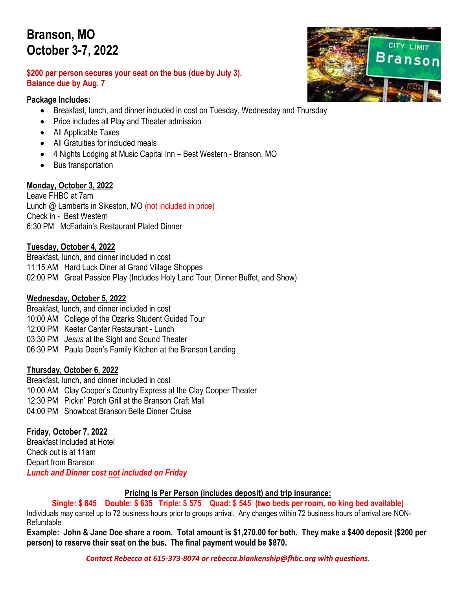### **Branson, MO October 3-7, 2022**

#### **\$200 per person secures your seat on the bus (due by July 3). Balance due by Aug. 7**

#### **Package Includes:**

- Breakfast, lunch, and dinner included in cost on Tuesday, Wednesday and Thursday
- Price includes all Play and Theater admission
- All Applicable Taxes
- All Gratuities for included meals
- 4 Nights Lodging at Music Capital Inn Best Western Branson, MO
- Bus transportation

#### **Monday, October 3, 2022**

Leave FHBC at 7am Lunch @ Lamberts in Sikeston, MO (not included in price) Check in - Best Western 6:30 PM McFarlain's Restaurant Plated Dinner

#### **Tuesday, October 4, 2022**

Breakfast, lunch, and dinner included in cost 11:15 AM Hard Luck Diner at Grand Village Shoppes 02:00 PM Great Passion Play (Includes Holy Land Tour, Dinner Buffet, and Show)

#### **Wednesday, October 5, 2022**

Breakfast, lunch, and dinner included in cost 10:00 AM College of the Ozarks Student Guided Tour 12:00 PM Keeter Center Restaurant - Lunch 03:30 PM *Jesus* at the Sight and Sound Theater 06:30 PM Paula Deen's Family Kitchen at the Branson Landing

#### **Thursday, October 6, 2022**

Breakfast, lunch, and dinner included in cost 10:00 AM Clay Cooper's Country Express at the Clay Cooper Theater 12:30 PM Pickin' Porch Grill at the Branson Craft Mall 04:00 PM Showboat Branson Belle Dinner Cruise

#### **Friday, October 7, 2022**

Breakfast Included at Hotel Check out is at 11am Depart from Branson *Lunch and Dinner cost not included on Friday*

**Pricing is Per Person (includes deposit) and trip insurance:**

**Single: \$ 845 Double: \$ 635 Triple: \$ 575 Quad: \$ 545 (two beds per room, no king bed available)**

Individuals may cancel up to 72 business hours prior to groups arrival. Any changes within 72 business hours of arrival are NON-Refundable

**Example: John & Jane Doe share a room. Total amount is \$1,270.00 for both. They make a \$400 deposit (\$200 per person) to reserve their seat on the bus. The final payment would be \$870.**